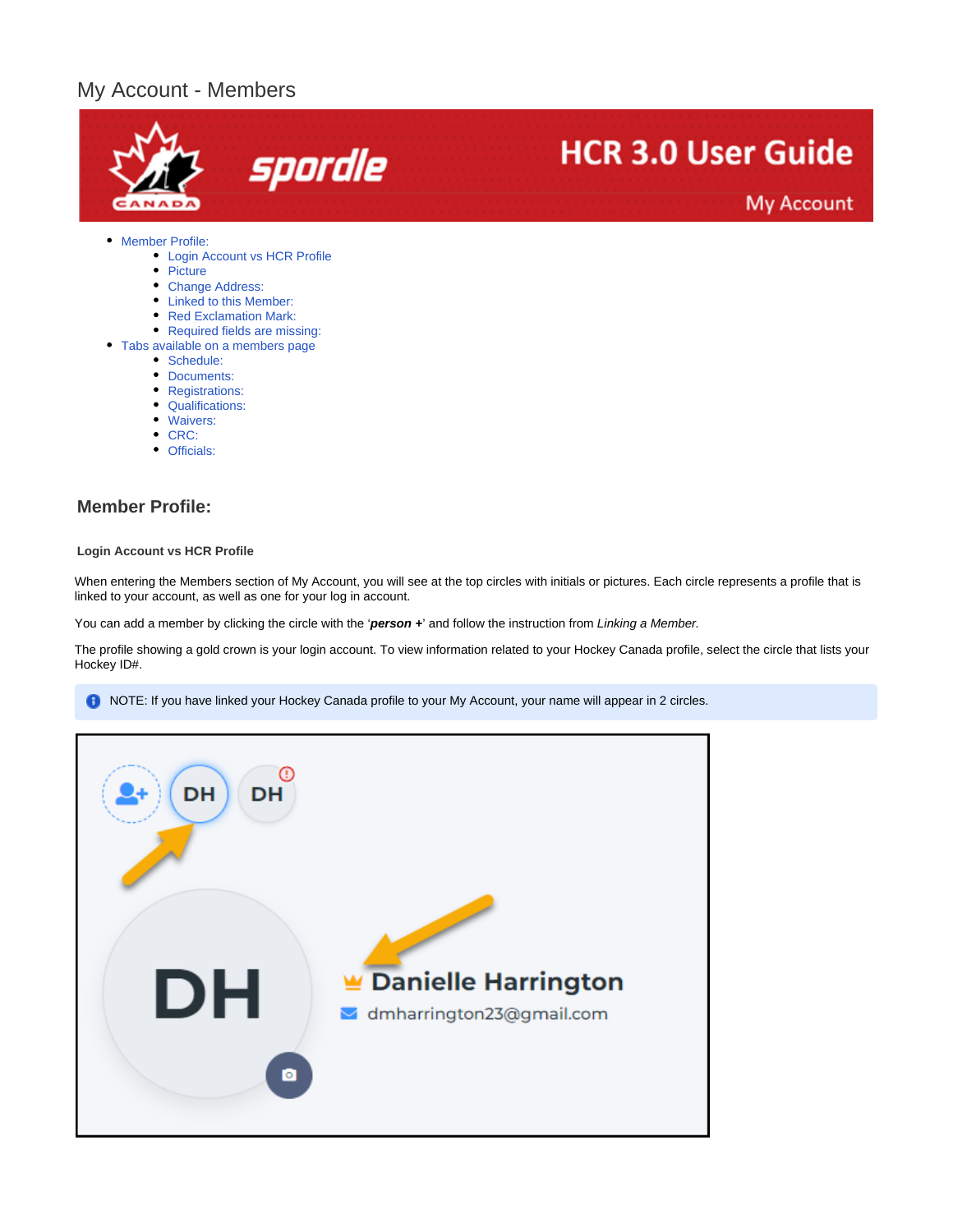# My Account - Members



- [Picture](#page-1-0)
- [Change Address:](#page-2-0)
- [Linked to this Member:](#page-2-1)
- [Red Exclamation Mark:](#page-3-0)
- [Required fields are missing:](#page-3-1)
- [Tabs available on a members page](#page-4-0)
	- [Schedule:](#page-4-1)
	- [Documents:](#page-5-0)
	- [Registrations:](#page-5-1)
	- [Qualifications:](#page-6-0)
	- [Waivers:](#page-6-1)
	- $\bullet$  [CRC:](#page-8-0)
	- [Officials:](#page-9-0)
	-

## <span id="page-0-0"></span>**Member Profile:**

#### <span id="page-0-1"></span>**Login Account vs HCR Profile**

When entering the Members section of My Account, you will see at the top circles with initials or pictures. Each circle represents a profile that is linked to your account, as well as one for your log in account.

You can add a member by clicking the circle with the 'person +' and follow the instruction from Linking a Member.

The profile showing a gold crown is your login account. To view information related to your Hockey Canada profile, select the circle that lists your Hockey ID#.

NOTE: If you have linked your Hockey Canada profile to your My Account, your name will appear in 2 circles.

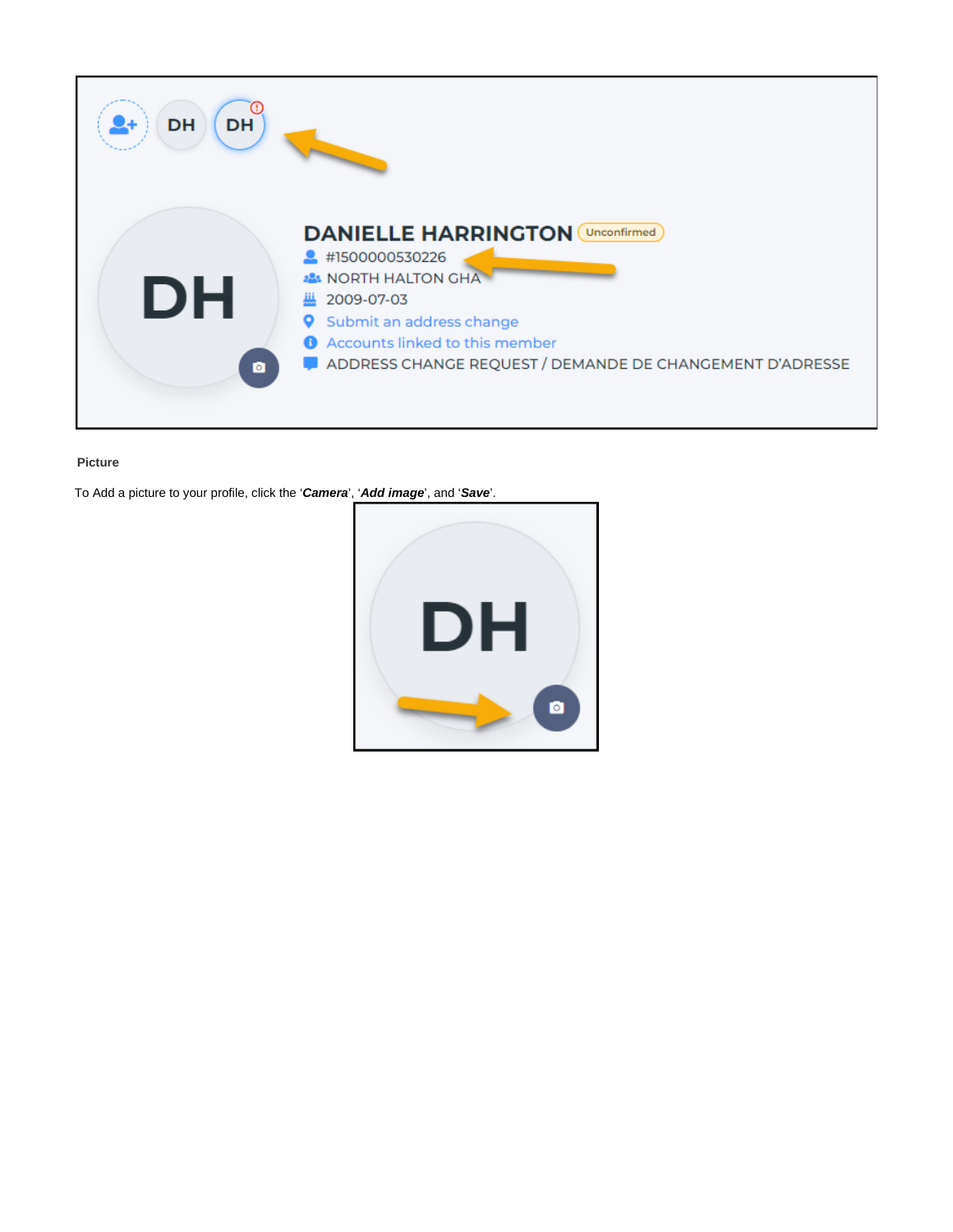

## <span id="page-1-0"></span>**Picture**

To Add a picture to your profile, click the '**Camera**', '**Add image**', and '**Save**'.

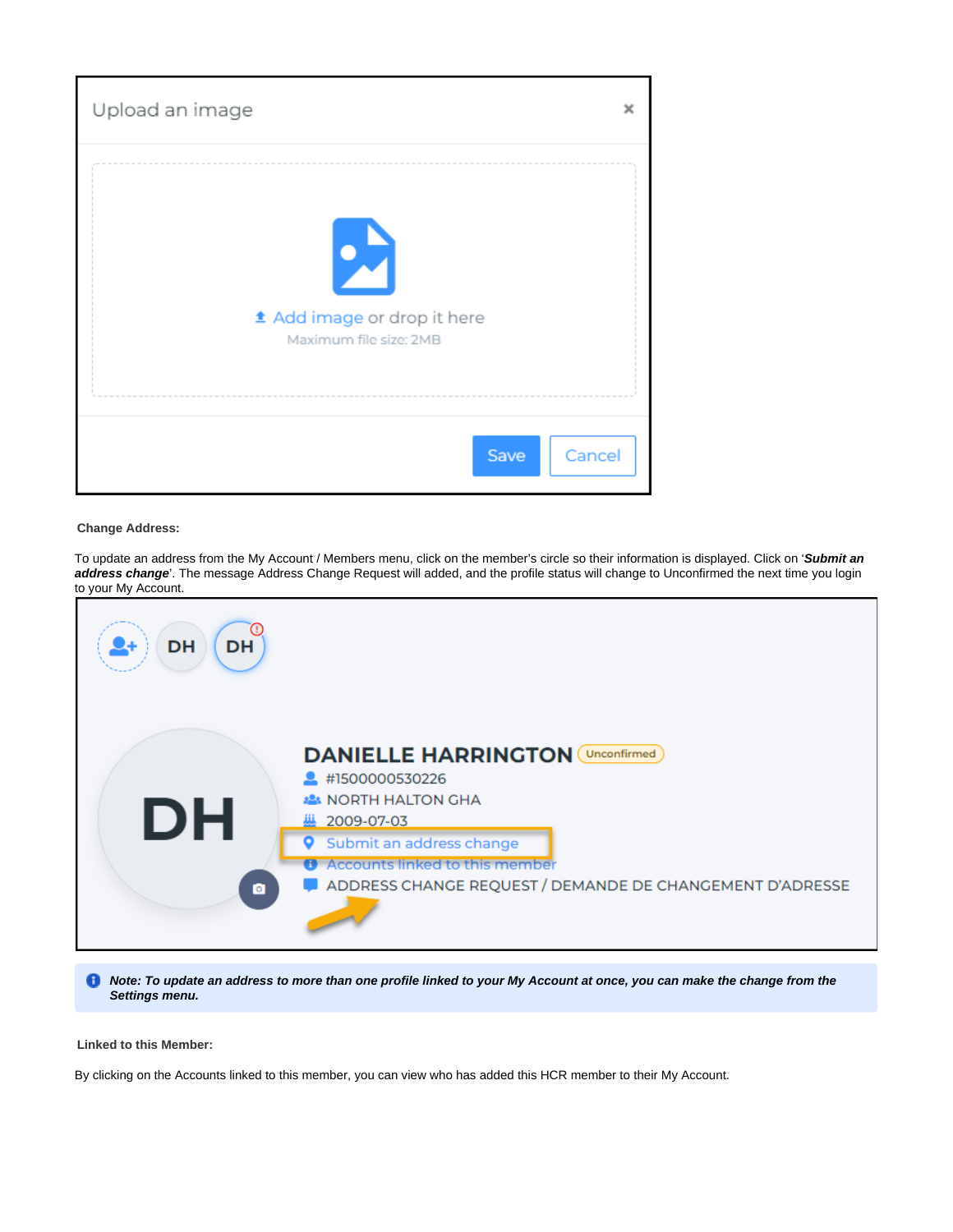

#### <span id="page-2-0"></span>**Change Address:**

To update an address from the My Account / Members menu, click on the member's circle so their information is displayed. Click on '**Submit an address change**'. The message Address Change Request will added, and the profile status will change to Unconfirmed the next time you login to your My Account.



**A** Note: To update an address to more than one profile linked to your My Account at once, you can make the change from the **Settings menu.**

### <span id="page-2-1"></span>**Linked to this Member:**

By clicking on the Accounts linked to this member, you can view who has added this HCR member to their My Account.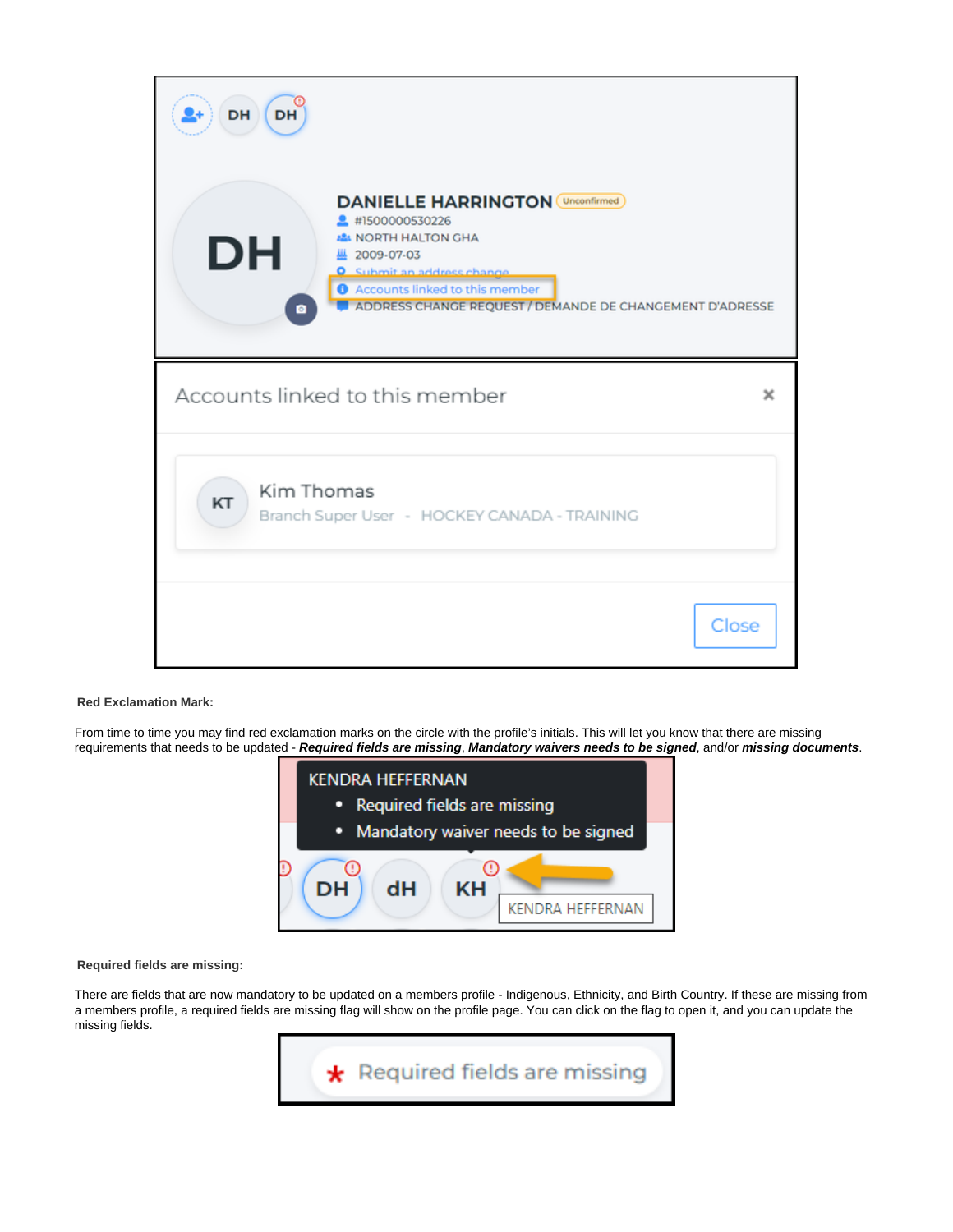| <b>DH</b><br>DH                                                                                                                                                                                                                                               |       |
|---------------------------------------------------------------------------------------------------------------------------------------------------------------------------------------------------------------------------------------------------------------|-------|
| <b>DANIELLE HARRINGTON</b> (Unconfirmed)<br><sup>2</sup> #1500000530226<br><b>ALL NORTH HALTON GHA</b><br>DH<br>2009-07-03<br><b>Q</b> Submit an address change<br>Accounts linked to this member<br>ADDRESS CHANGE REQUEST / DEMANDE DE CHANGEMENT D'ADRESSE |       |
| Accounts linked to this member                                                                                                                                                                                                                                |       |
| Kim Thomas<br>KT<br>Branch Super User - HOCKEY CANADA - TRAINING                                                                                                                                                                                              |       |
|                                                                                                                                                                                                                                                               | Close |

#### <span id="page-3-0"></span>**Red Exclamation Mark:**

From time to time you may find red exclamation marks on the circle with the profile's initials. This will let you know that there are missing requirements that needs to be updated - **Required fields are missing**, **Mandatory waivers needs to be signed**, and/or **missing documents**.



#### <span id="page-3-1"></span>**Required fields are missing:**

There are fields that are now mandatory to be updated on a members profile - Indigenous, Ethnicity, and Birth Country. If these are missing from a members profile, a required fields are missing flag will show on the profile page. You can click on the flag to open it, and you can update the missing fields.

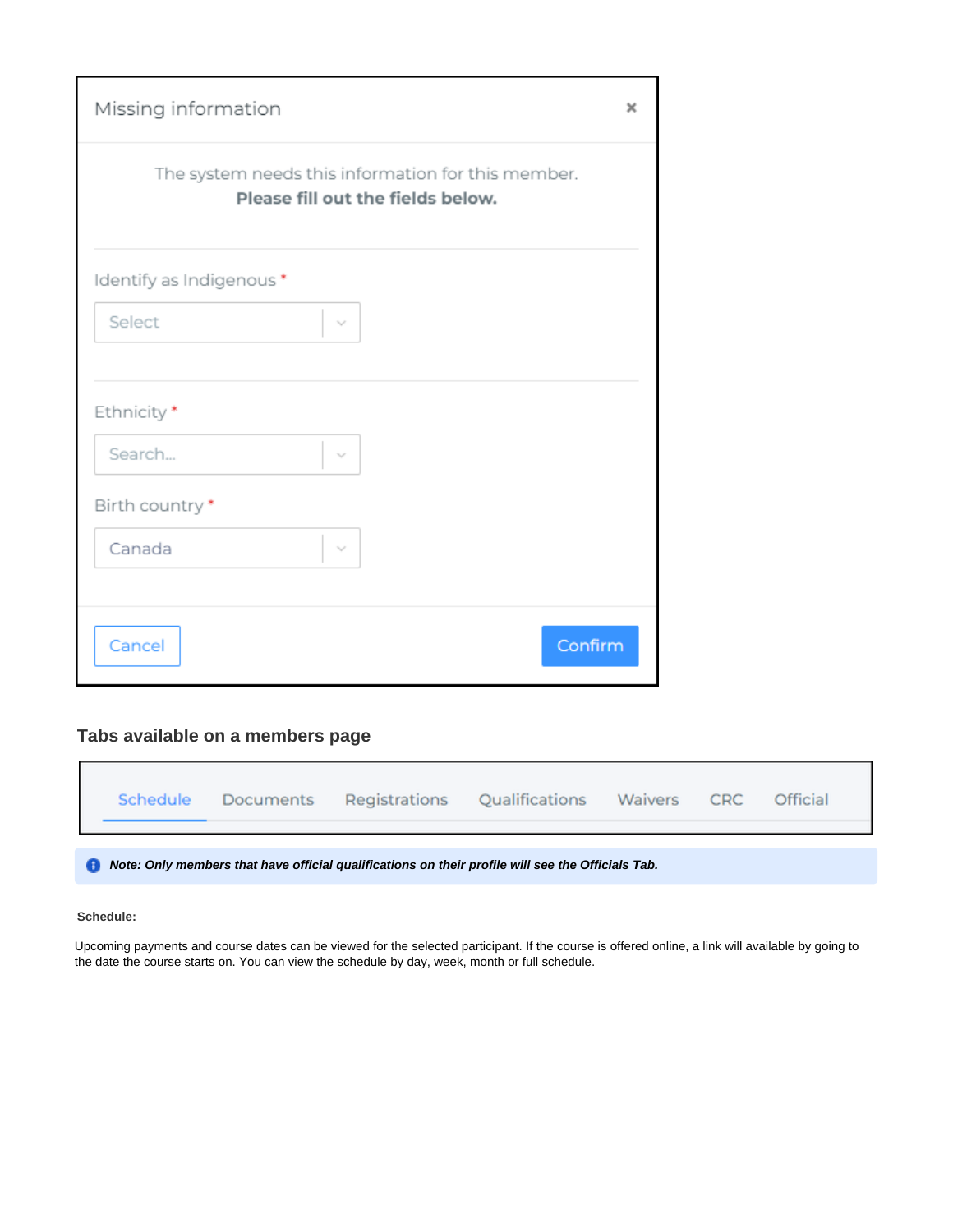| Missing information                                                                     | $\times$ |
|-----------------------------------------------------------------------------------------|----------|
| The system needs this information for this member.<br>Please fill out the fields below. |          |
| Identify as Indigenous*                                                                 |          |
| Select<br>$\vee$                                                                        |          |
| Ethnicity*<br>Search<br>$\sim$                                                          |          |
| Birth country *                                                                         |          |
| Canada<br>$\sim$                                                                        |          |
|                                                                                         |          |
| Confirm<br>Cancel                                                                       |          |

## <span id="page-4-0"></span>**Tabs available on a members page**

|  | Schedule |  |  | Documents Registrations Qualifications Waivers |  | <b>CRC</b> | <b>Official</b> |
|--|----------|--|--|------------------------------------------------|--|------------|-----------------|
|--|----------|--|--|------------------------------------------------|--|------------|-----------------|

**Note: Only members that have official qualifications on their profile will see the Officials Tab.** 

## <span id="page-4-1"></span>**Schedule:**

Upcoming payments and course dates can be viewed for the selected participant. If the course is offered online, a link will available by going to the date the course starts on. You can view the schedule by day, week, month or full schedule.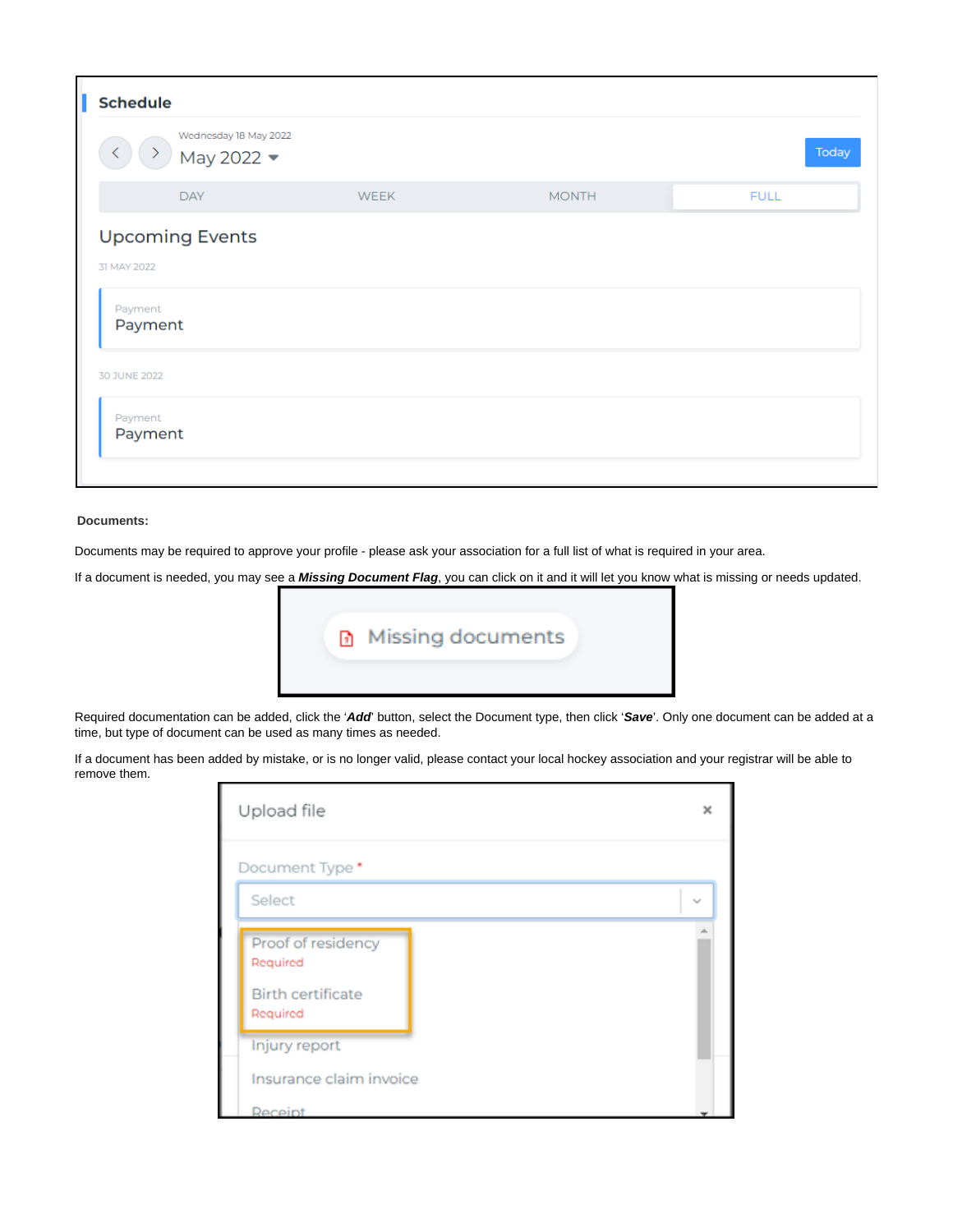| <b>Schedule</b>              |                                                           |             |              |             |  |  |  |  |
|------------------------------|-----------------------------------------------------------|-------------|--------------|-------------|--|--|--|--|
| $\left\langle \right\rangle$ | Wednesday 18 May 2022<br>$\rightarrow$ May 2022 $\bullet$ |             |              | Today       |  |  |  |  |
|                              | <b>DAY</b>                                                | <b>WEEK</b> | <b>MONTH</b> | <b>FULL</b> |  |  |  |  |
| 31 MAY 2022                  | <b>Upcoming Events</b>                                    |             |              |             |  |  |  |  |
| Payment<br>Payment           |                                                           |             |              |             |  |  |  |  |
| 30 JUNE 2022                 |                                                           |             |              |             |  |  |  |  |
| Payment<br>Payment           |                                                           |             |              |             |  |  |  |  |

## <span id="page-5-0"></span>**Documents:**

Documents may be required to approve your profile - please ask your association for a full list of what is required in your area.

If a document is needed, you may see a **Missing Document Flag**, you can click on it and it will let you know what is missing or needs updated.



Required documentation can be added, click the '**Add**' button, select the Document type, then click '**Save**'. Only one document can be added at a time, but type of document can be used as many times as needed.

<span id="page-5-1"></span>If a document has been added by mistake, or is no longer valid, please contact your local hockey association and your registrar will be able to remove them.

| Upload file                                           | $\mathbf x$ |
|-------------------------------------------------------|-------------|
| Document Type*<br>Select                              | $\sim$      |
| Proof of residency<br>Required                        |             |
| <b>Birth certificate</b><br>Required<br>Injury report |             |
| Insurance claim invoice<br>Receipt                    |             |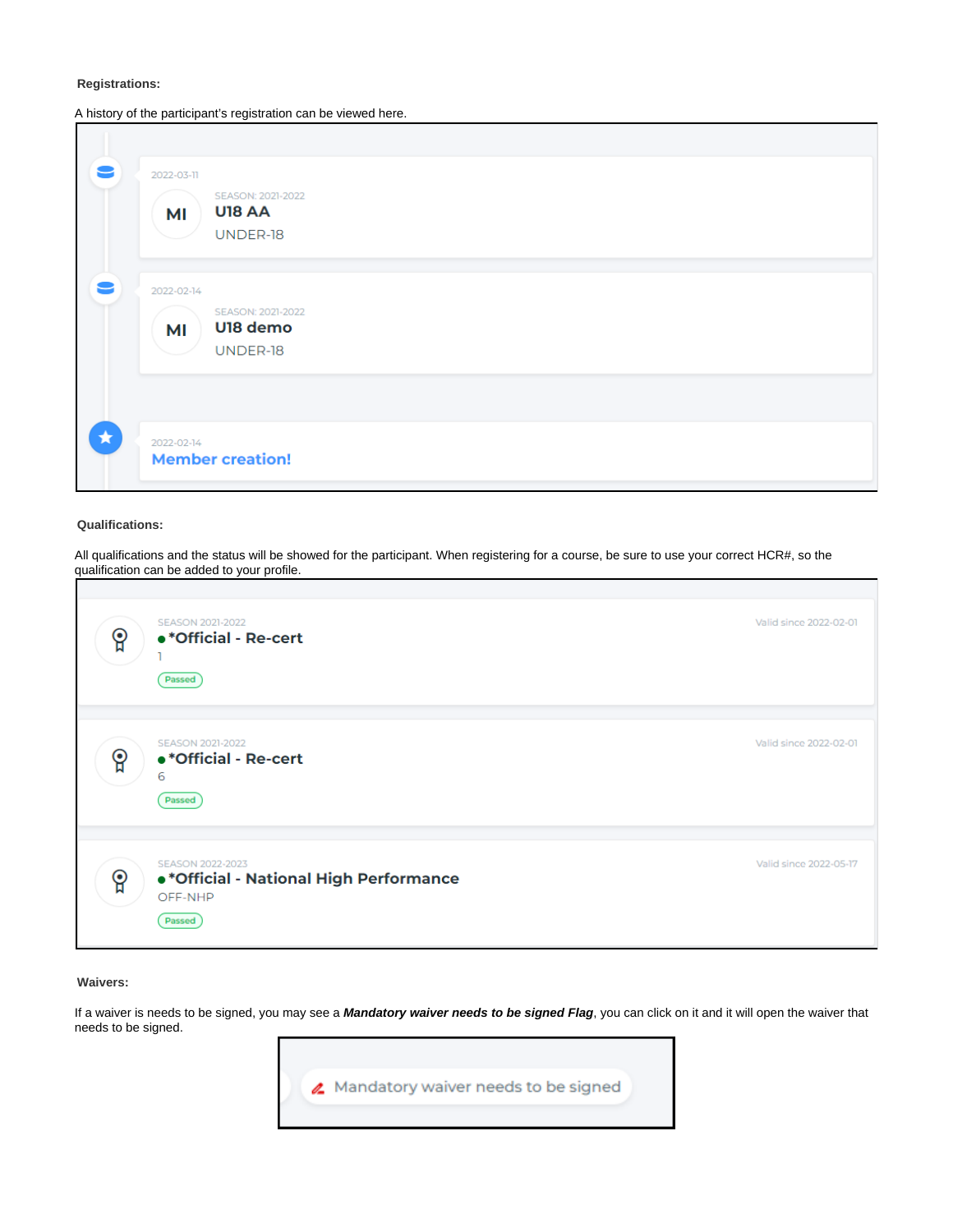#### **Registrations:**

A history of the participant's registration can be viewed here.

| 9       | 2022-03-11<br>SEASON: 2021-2022<br><b>U18 AA</b><br>MI<br>UNDER-18 |  |  |
|---------|--------------------------------------------------------------------|--|--|
| 2       | 2022-02-14<br>SEASON: 2021-2022<br>U18 demo<br>MI<br>UNDER-18      |  |  |
| $\star$ | 2022-02-14<br><b>Member creation!</b>                              |  |  |

#### <span id="page-6-0"></span>**Qualifications:**

All qualifications and the status will be showed for the participant. When registering for a course, be sure to use your correct HCR#, so the qualification can be added to your profile.

| ဝူ | SEASON 2021-2022<br>•* Official - Re-cert<br>Passed                              | Valid since 2022-02-01 |
|----|----------------------------------------------------------------------------------|------------------------|
| မွ | SEASON 2021-2022<br>•* Official - Re-cert<br>6<br>Passed                         | Valid since 2022-02-01 |
| ဝူ | SEASON 2022-2023<br>·* Official - National High Performance<br>OFF-NHP<br>Passed | Valid since 2022-05-17 |

#### <span id="page-6-1"></span>**Waivers:**

If a waiver is needs to be signed, you may see a **Mandatory waiver needs to be signed Flag**, you can click on it and it will open the waiver that needs to be signed.

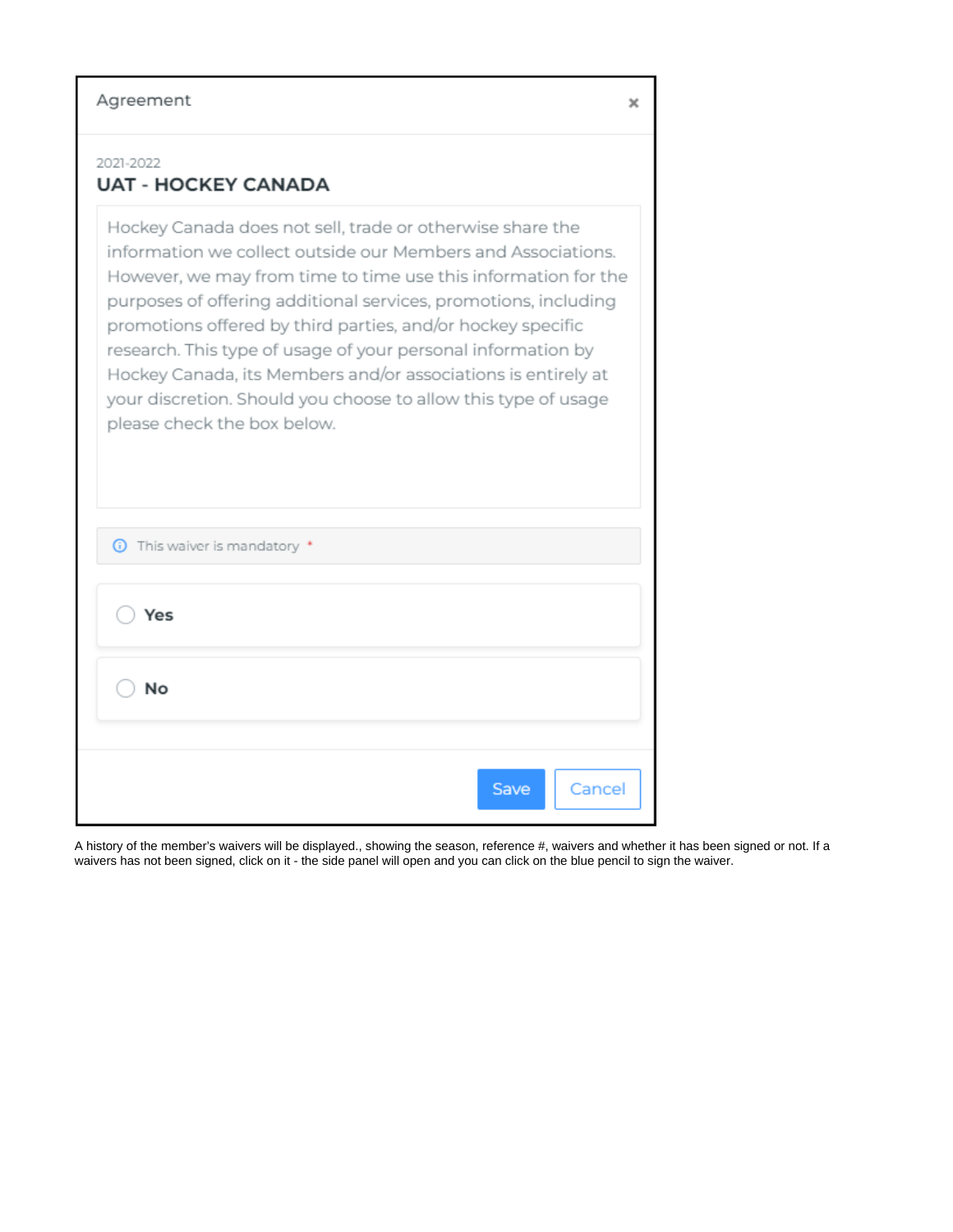## Agreement

# 2021-2022

# **UAT - HOCKEY CANADA**

Hockey Canada does not sell, trade or otherwise share the information we collect outside our Members and Associations. However, we may from time to time use this information for the purposes of offering additional services, promotions, including promotions offered by third parties, and/or hockey specific research. This type of usage of your personal information by Hockey Canada, its Members and/or associations is entirely at your discretion. Should you choose to allow this type of usage please check the box below.

| Yes<br>No |
|-----------|
|           |
|           |

A history of the member's waivers will be displayed., showing the season, reference #, waivers and whether it has been signed or not. If a waivers has not been signed, click on it - the side panel will open and you can click on the blue pencil to sign the waiver.

×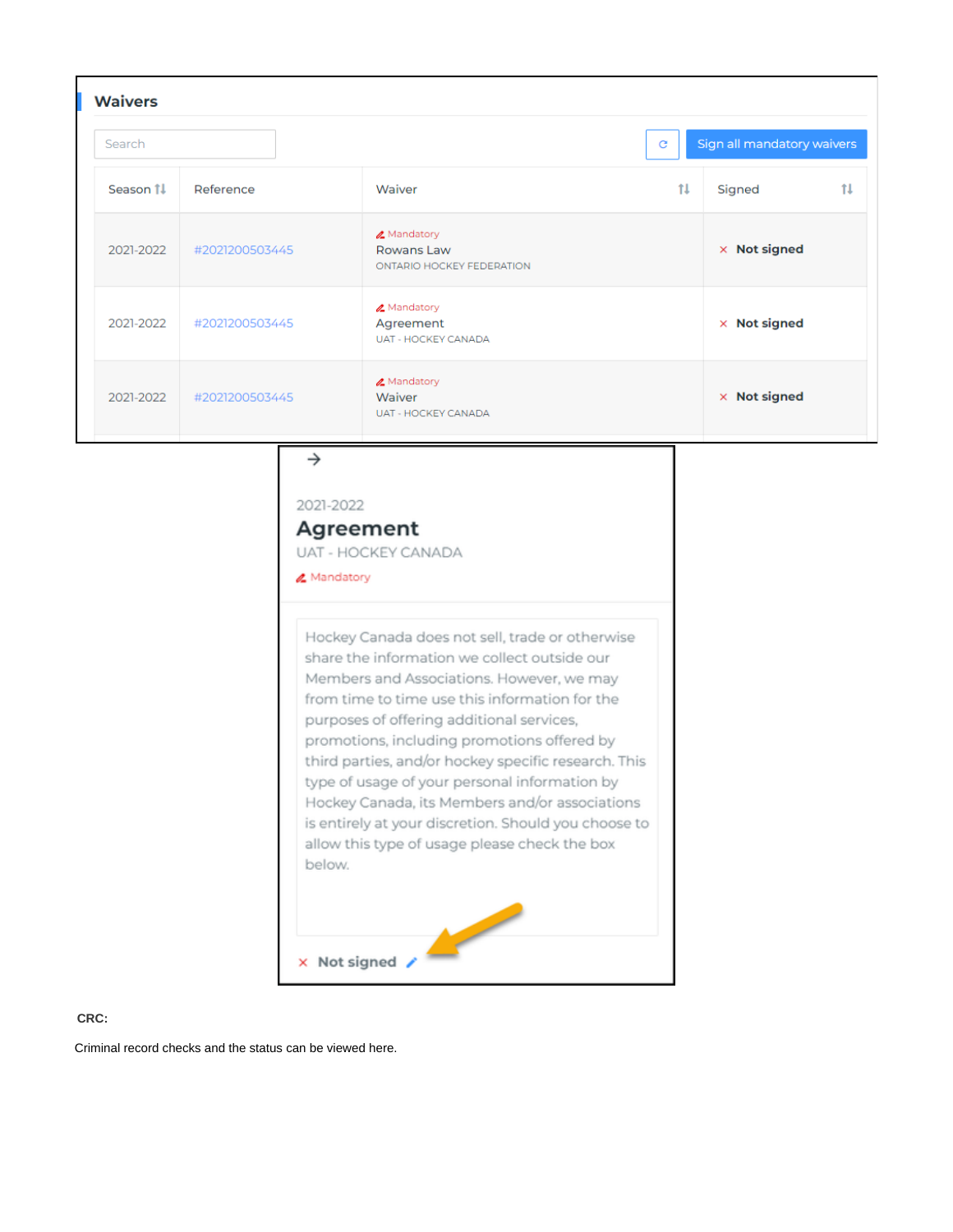| <b>Waivers</b> |                |                                                               |    |                            |
|----------------|----------------|---------------------------------------------------------------|----|----------------------------|
| Search         |                |                                                               | C  | Sign all mandatory waivers |
| Season 11      | Reference      | Waiver                                                        | tı | 11<br>Signed               |
| 2021-2022      | #2021200503445 | <b>ℤ</b> Mandatory<br>Rowans Law<br>ONTARIO HOCKEY FEDERATION |    | $\times$ Not signed        |
| 2021-2022      | #2021200503445 | <b>ℤ</b> Mandatory<br>Agreement<br><b>UAT - HOCKEY CANADA</b> |    | $\times$ Not signed        |
| 2021-2022      | #2021200503445 | A Mandatory<br>Waiver<br><b>UAT - HOCKEY CANADA</b>           |    | $\times$ Not signed        |

## $\rightarrow$

2021-2022

# Agreement

UAT - HOCKEY CANADA

## **₫** Mandatory

Hockey Canada does not sell, trade or otherwise share the information we collect outside our Members and Associations. However, we may from time to time use this information for the purposes of offering additional services, promotions, including promotions offered by third parties, and/or hockey specific research. This type of usage of your personal information by Hockey Canada, its Members and/or associations is entirely at your discretion. Should you choose to allow this type of usage please check the box below.

**Contract Contract Contract Contract Contract Contract Contract Contract Contract Contract Contract Contract Contract Contract Contract Contract Contract Contract Contract Contract Contract Contract Contract Contract Contr**  $\times$  Not signed  $\times$ 

## <span id="page-8-0"></span>CRC:

Criminal record checks and the status can be viewed here.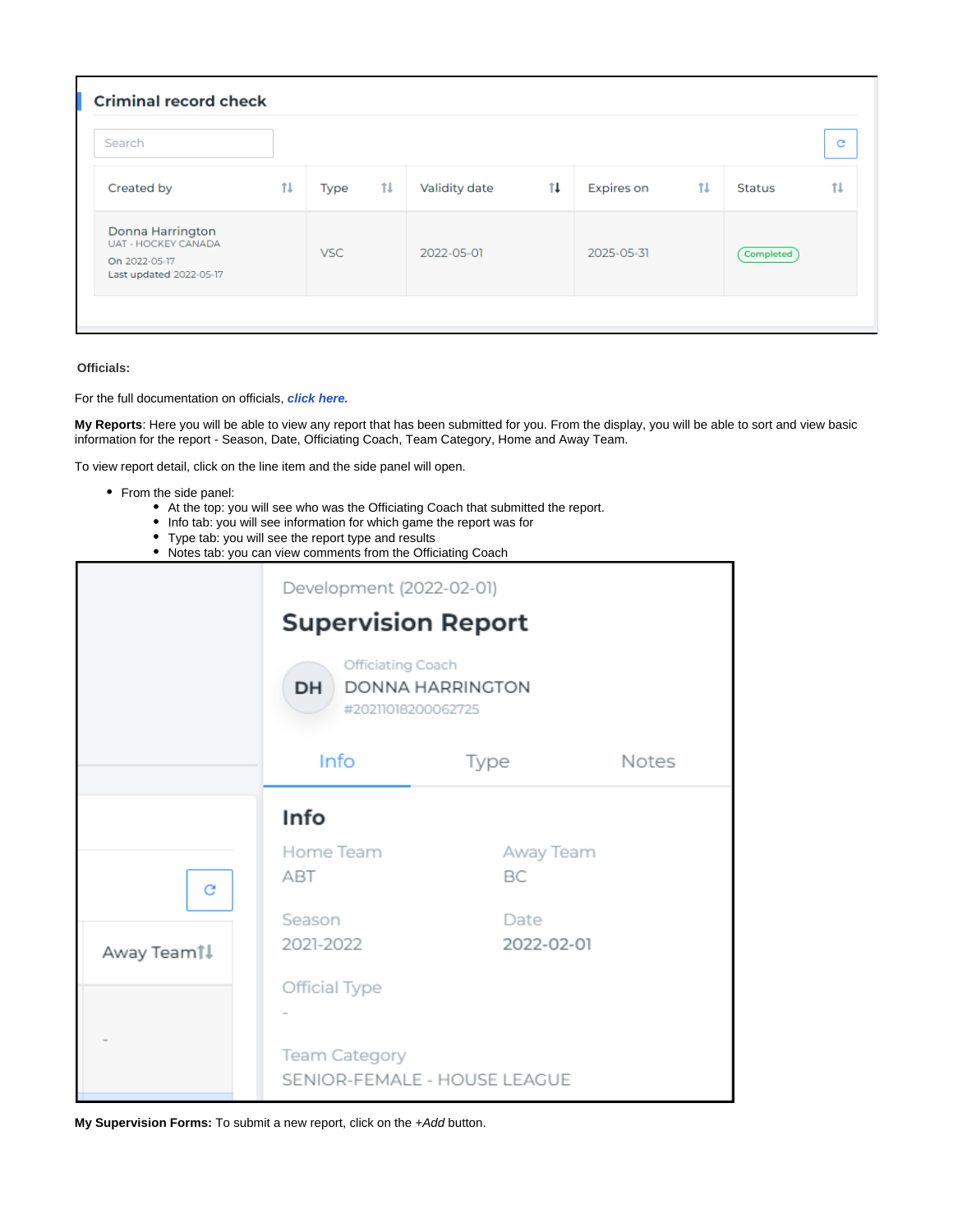| Search                                                                                     |    |      |              |               |                       |                   |              |               | G  |
|--------------------------------------------------------------------------------------------|----|------|--------------|---------------|-----------------------|-------------------|--------------|---------------|----|
| Created by                                                                                 | 1l | Type | $\mathbf{H}$ | Validity date | $\uparrow \downarrow$ | <b>Expires on</b> | $\mathbf{1}$ | <b>Status</b> | tı |
| Donna Harrington<br><b>UAT - HOCKEY CANADA</b><br>On 2022-05-17<br>Last updated 2022-05-17 |    | VSC. |              | 2022-05-01    |                       | 2025-05-31        |              | Completed     |    |

## <span id="page-9-0"></span>**Officials:**

For the full documentation on officials, **[click here.](https://spordle.atlassian.net/wiki/spaces/HDNE/pages/2415919117/Task+-+Official+Supervision)**

**My Reports**: Here you will be able to view any report that has been submitted for you. From the display, you will be able to sort and view basic information for the report - Season, Date, Officiating Coach, Team Category, Home and Away Team.

To view report detail, click on the line item and the side panel will open.

- From the side panel:
	- At the top: you will see who was the Officiating Coach that submitted the report.
	- Info tab: you will see information for which game the report was for
	- Type tab: you will see the report type and results
	- Notes tab: you can view comments from the Officiating Coach

|                        | Development (2022-02-01)<br><b>Supervision Report</b> |                              |       |
|------------------------|-------------------------------------------------------|------------------------------|-------|
|                        | Officiating Coach<br>DH<br>#20211018200062725         | <b>DONNA HARRINGTON</b>      |       |
|                        | Info                                                  | Type                         | Notes |
|                        | Info                                                  |                              |       |
| c                      | Home Team<br>ABT                                      | Away Team<br>BC              |       |
| Away Team <sup>1</sup> | Season<br>2021-2022                                   | Date<br>2022-02-01           |       |
|                        | Official Type                                         |                              |       |
|                        | <b>Team Category</b>                                  | SENIOR-FEMALE - HOUSE LEAGUE |       |

**My Supervision Forms:** To submit a new report, click on the +Add button.